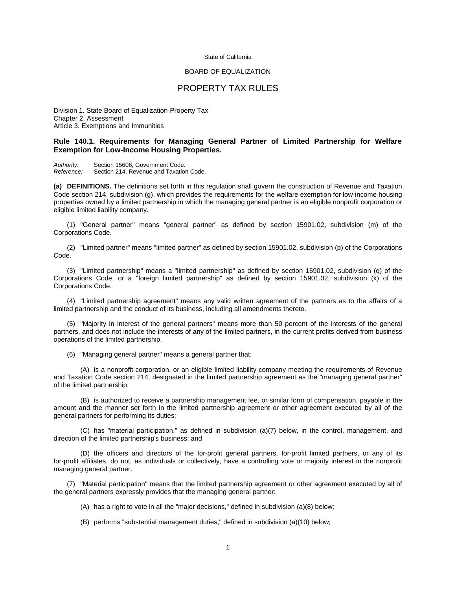## State of California

## BOARD OF EQUALIZATION

## PROPERTY TAX RULES

Division 1. State Board of Equalization-Property Tax Chapter 2. Assessment Article 3. Exemptions and Immunities

## **Rule 140.1. Requirements for Managing General Partner of Limited Partnership for Welfare Exemption for Low-Income Housing Properties.**

*Authority:* Section 15606, Government Code. Section 214, Revenue and Taxation Code.

**(a) DEFINITIONS.** The definitions set forth in this regulation shall govern the construction of Revenue and Taxation Code section 214, subdivision (g), which provides the requirements for the welfare exemption for low-income housing properties owned by a limited partnership in which the managing general partner is an eligible nonprofit corporation or eligible limited liability company.

 (1) "General partner" means "general partner" as defined by section 15901.02, subdivision (m) of the Corporations Code.

 (2) "Limited partner" means "limited partner" as defined by section 15901.02, subdivision (p) of the Corporations Code.

 (3) "Limited partnership" means a "limited partnership" as defined by section 15901.02, subdivision (q) of the Corporations Code, or a "foreign limited partnership" as defined by section 15901.02, subdivision (k) of the Corporations Code.

 (4) "Limited partnership agreement" means any valid written agreement of the partners as to the affairs of a limited partnership and the conduct of its business, including all amendments thereto.

 (5) "Majority in interest of the general partners" means more than 50 percent of the interests of the general partners, and does not include the interests of any of the limited partners, in the current profits derived from business operations of the limited partnership.

(6) "Managing general partner" means a general partner that:

 (A) is a nonprofit corporation, or an eligible limited liability company meeting the requirements of Revenue and Taxation Code section 214, designated in the limited partnership agreement as the "managing general partner" of the limited partnership;

 (B) is authorized to receive a partnership management fee, or similar form of compensation, payable in the amount and the manner set forth in the limited partnership agreement or other agreement executed by all of the general partners for performing its duties;

(C) has "material participation," as defined in subdivision (a)(7) below, in the control, management, and direction of the limited partnership's business; and

(D) the officers and directors of the for-profit general partners, for-profit limited partners, or any of its for-profit affiliates, do not, as individuals or collectively, have a controlling vote or majority interest in the nonprofit managing general partner.

 (7) "Material participation" means that the limited partnership agreement or other agreement executed by all of the general partners expressly provides that the managing general partner:

(A) has a right to vote in all the "major decisions," defined in subdivision (a)(8) below;

(B) performs "substantial management duties," defined in subdivision (a)(10) below;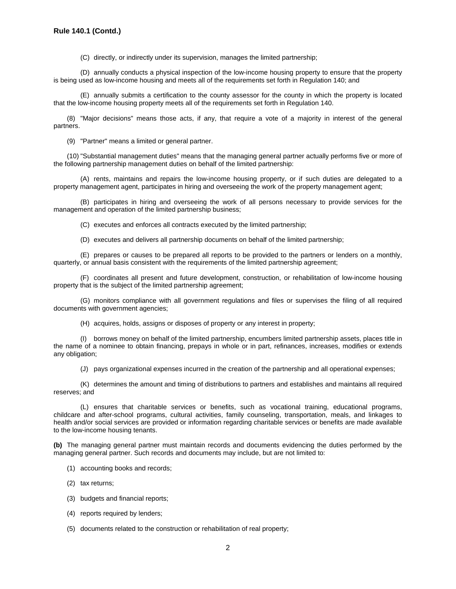(C) directly, or indirectly under its supervision, manages the limited partnership;

(D) annually conducts a physical inspection of the low-income housing property to ensure that the property is being used as low-income housing and meets all of the requirements set forth in Regulation 140; and

 (E) annually submits a certification to the county assessor for the county in which the property is located that the low-income housing property meets all of the requirements set forth in Regulation 140.

 (8) "Major decisions" means those acts, if any, that require a vote of a majority in interest of the general partners.

(9) "Partner" means a limited or general partner.

(10) "Substantial management duties" means that the managing general partner actually performs five or more of the following partnership management duties on behalf of the limited partnership:

 (A) rents, maintains and repairs the low-income housing property, or if such duties are delegated to a property management agent, participates in hiring and overseeing the work of the property management agent;

 (B) participates in hiring and overseeing the work of all persons necessary to provide services for the management and operation of the limited partnership business;

(C) executes and enforces all contracts executed by the limited partnership;

(D) executes and delivers all partnership documents on behalf of the limited partnership;

 (E) prepares or causes to be prepared all reports to be provided to the partners or lenders on a monthly, quarterly, or annual basis consistent with the requirements of the limited partnership agreement;

 (F) coordinates all present and future development, construction, or rehabilitation of low-income housing property that is the subject of the limited partnership agreement;

(G) monitors compliance with all government regulations and files or supervises the filing of all required documents with government agencies;

(H) acquires, holds, assigns or disposes of property or any interest in property;

 (I) borrows money on behalf of the limited partnership, encumbers limited partnership assets, places title in the name of a nominee to obtain financing, prepays in whole or in part, refinances, increases, modifies or extends any obligation;

(J) pays organizational expenses incurred in the creation of the partnership and all operational expenses;

 (K) determines the amount and timing of distributions to partners and establishes and maintains all required reserves; and

 (L) ensures that charitable services or benefits, such as vocational training, educational programs, childcare and after-school programs, cultural activities, family counseling, transportation, meals, and linkages to health and/or social services are provided or information regarding charitable services or benefits are made available to the low-income housing tenants.

**(b)** The managing general partner must maintain records and documents evidencing the duties performed by the managing general partner. Such records and documents may include, but are not limited to:

- (1) accounting books and records;
- (2) tax returns;
- (3) budgets and financial reports;
- (4) reports required by lenders;
- (5) documents related to the construction or rehabilitation of real property;